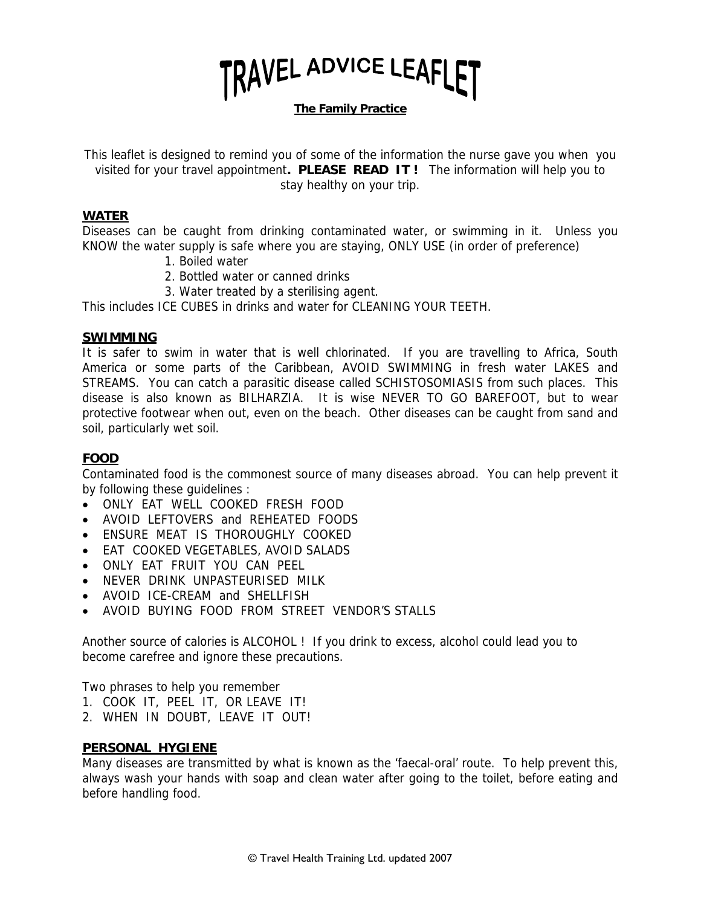

**The Family Practice**

This leaflet is designed to remind you of some of the information the nurse gave you when you visited for your travel appointment**. PLEASE READ IT !** The information will help you to stay healthy on your trip.

#### **WATER**

Diseases can be caught from drinking contaminated water, or swimming in it. Unless you KNOW the water supply is safe where you are staying, ONLY USE (in order of preference)

- 1. Boiled water
- 2. Bottled water or canned drinks
- 3. Water treated by a sterilising agent.

This includes ICE CUBES in drinks and water for CLEANING YOUR TEETH.

#### **SWIMMING**

It is safer to swim in water that is well chlorinated. If you are travelling to Africa, South America or some parts of the Caribbean, AVOID SWIMMING in fresh water LAKES and STREAMS. You can catch a parasitic disease called SCHISTOSOMIASIS from such places. This disease is also known as BILHARZIA. It is wise NEVER TO GO BAREFOOT, but to wear protective footwear when out, even on the beach. Other diseases can be caught from sand and soil, particularly wet soil.

## **FOOD**

Contaminated food is the commonest source of many diseases abroad. You can help prevent it by following these guidelines :

- ONLY EAT WELL COOKED FRESH FOOD
- AVOID LEFTOVERS and REHEATED FOODS
- ENSURE MEAT IS THOROUGHLY COOKED
- EAT COOKED VEGETABLES, AVOID SALADS
- ONLY EAT FRUIT YOU CAN PEEL
- NEVER DRINK UNPASTEURISED MILK
- AVOID ICF-CREAM and SHELLFISH
- AVOID BUYING FOOD FROM STREET VENDOR'S STALLS

Another source of calories is ALCOHOL ! If you drink to excess, alcohol could lead you to become carefree and ignore these precautions.

Two phrases to help you remember

- 1. COOK IT, PEEL IT, OR LEAVE IT!
- 2. WHEN IN DOUBT, LEAVE IT OUT!

#### **PERSONAL HYGIENE**

Many diseases are transmitted by what is known as the 'faecal-oral' route. To help prevent this, always wash your hands with soap and clean water after going to the toilet, before eating and before handling food.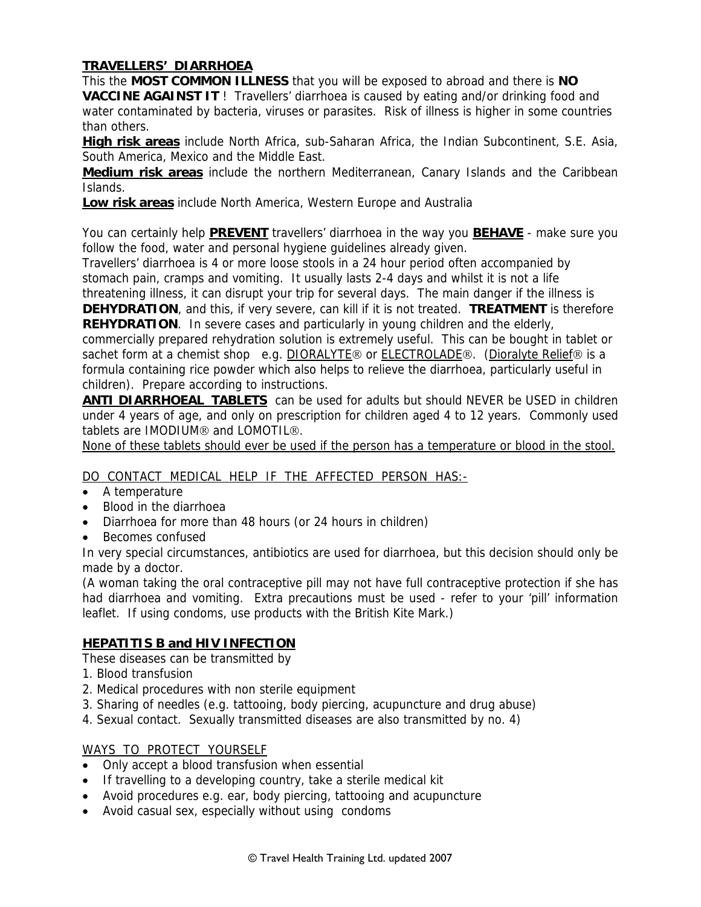# **TRAVELLERS' DIARRHOEA**

This the **MOST COMMON ILLNESS** that you will be exposed to abroad and there is **NO VACCINE AGAINST IT** ! Travellers' diarrhoea is caused by eating and/or drinking food and water contaminated by bacteria, viruses or parasites. Risk of illness is higher in some countries than others.

**High risk areas** include North Africa, sub-Saharan Africa, the Indian Subcontinent, S.E. Asia, South America, Mexico and the Middle East.

**Medium risk areas** include the northern Mediterranean, Canary Islands and the Caribbean Islands.

**Low risk areas** include North America, Western Europe and Australia

You can certainly help **PREVENT** travellers' diarrhoea in the way you **BEHAVE** - make sure you follow the food, water and personal hygiene guidelines already given.

Travellers' diarrhoea is 4 or more loose stools in a 24 hour period often accompanied by stomach pain, cramps and vomiting. It usually lasts 2-4 days and whilst it is not a life

threatening illness, it can disrupt your trip for several days. The main danger if the illness is **DEHYDRATION**, and this, if very severe, can kill if it is not treated. **TREATMENT** is therefore **REHYDRATION**. In severe cases and particularly in young children and the elderly,

commercially prepared rehydration solution is extremely useful. This can be bought in tablet or sachet form at a chemist shop e.g. DIORALYTE® or ELECTROLADE®. (Dioralyte Relief® is a formula containing rice powder which also helps to relieve the diarrhoea, particularly useful in children). Prepare according to instructions.

**ANTI DIARRHOEAL TABLETS** can be used for adults but should NEVER be USED in children under 4 years of age, and only on prescription for children aged 4 to 12 years. Commonly used tablets are IMODIUM® and LOMOTIL®.

None of these tablets should ever be used if the person has a temperature or blood in the stool.

## DO CONTACT MEDICAL HELP IF THE AFFECTED PERSON HAS:-

- A temperature
- Blood in the diarrhoea
- Diarrhoea for more than 48 hours (or 24 hours in children)
- Becomes confused

In very special circumstances, antibiotics are used for diarrhoea, but this decision should only be made by a doctor.

(A woman taking the oral contraceptive pill may not have full contraceptive protection if she has had diarrhoea and vomiting. Extra precautions must be used - refer to your 'pill' information leaflet. If using condoms, use products with the British Kite Mark.)

## **HEPATITIS B and HIV INFECTION**

These diseases can be transmitted by

- 1. Blood transfusion
- 2. Medical procedures with non sterile equipment
- 3. Sharing of needles (e.g. tattooing, body piercing, acupuncture and drug abuse)
- 4. Sexual contact. Sexually transmitted diseases are also transmitted by no. 4)

#### WAYS TO PROTECT YOURSELF

- Only accept a blood transfusion when essential
- If travelling to a developing country, take a sterile medical kit
- Avoid procedures e.g. ear, body piercing, tattooing and acupuncture
- Avoid casual sex, especially without using condoms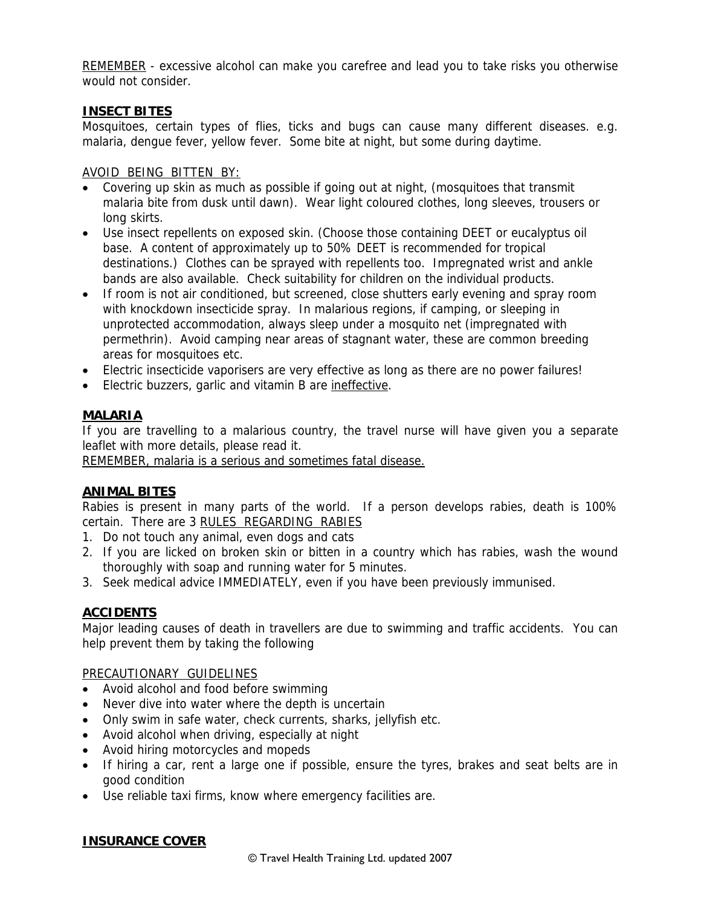REMEMBER - excessive alcohol can make you carefree and lead you to take risks you otherwise would not consider.

## **INSECT BITES**

Mosquitoes, certain types of flies, ticks and bugs can cause many different diseases. e.g. malaria, dengue fever, yellow fever. Some bite at night, but some during daytime.

## AVOID BEING BITTEN BY:

- Covering up skin as much as possible if going out at night, (mosquitoes that transmit malaria bite from dusk until dawn). Wear light coloured clothes, long sleeves, trousers or long skirts.
- Use insect repellents on exposed skin. (Choose those containing DEET or eucalyptus oil base. A content of approximately up to 50% DEET is recommended for tropical destinations.) Clothes can be sprayed with repellents too. Impregnated wrist and ankle bands are also available. Check suitability for children on the individual products.
- If room is not air conditioned, but screened, close shutters early evening and spray room with knockdown insecticide spray. In malarious regions, if camping, or sleeping in unprotected accommodation, always sleep under a mosquito net (impregnated with permethrin). Avoid camping near areas of stagnant water, these are common breeding areas for mosquitoes etc.
- Electric insecticide vaporisers are very effective as long as there are no power failures!
- Electric buzzers, garlic and vitamin B are ineffective.

# **MALARIA**

If you are travelling to a malarious country, the travel nurse will have given you a separate leaflet with more details, please read it.

REMEMBER, malaria is a serious and sometimes fatal disease.

# **ANIMAL BITES**

Rabies is present in many parts of the world. If a person develops rabies, death is 100% certain. There are 3 RULES REGARDING RABIES

- 1. Do not touch any animal, even dogs and cats
- 2. If you are licked on broken skin or bitten in a country which has rabies, wash the wound thoroughly with soap and running water for 5 minutes.
- 3. Seek medical advice IMMEDIATELY, even if you have been previously immunised.

## **ACCIDENTS**

Major leading causes of death in travellers are due to swimming and traffic accidents. You can help prevent them by taking the following

## PRECAUTIONARY GUIDELINES

- Avoid alcohol and food before swimming
- Never dive into water where the depth is uncertain
- Only swim in safe water, check currents, sharks, jellyfish etc.
- Avoid alcohol when driving, especially at night
- Avoid hiring motorcycles and mopeds
- If hiring a car, rent a large one if possible, ensure the tyres, brakes and seat belts are in good condition
- Use reliable taxi firms, know where emergency facilities are.

## **INSURANCE COVER**